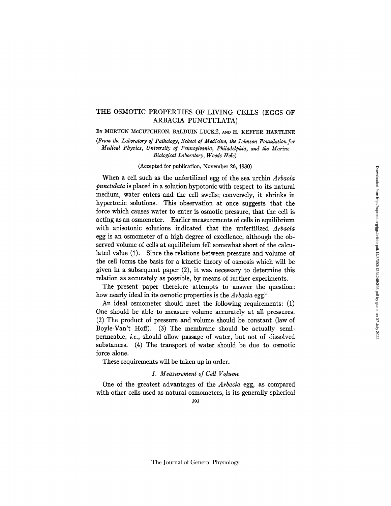# THE OSMOTIC PROPERTIES OF LIVING CELLS (EGGS OF ARBACIA PUNCTULATA)

BY MORTON MCCUTCHEON, BALDUIN LUCKÉ, AND H. KEFFER HARTLINE

*(From the Laboratory of Pathology, School of Medicine, the Johnson Foundation for Medical Physics, University of Pennsylvania, Philadelphia, and the Marine Biological Laboratory, Woods Hole)* 

(Accepted for publication, November 26, 1930)

When a cell such as the unfertilized egg of the sea urchin *Arbacia punctulata* is placed in a solution hypotonic with respect to its natural medium, water enters and the cell swells; conversely, it shrinks in hypertonic solutions. This observation at once suggests that the force which causes water to enter is osmotic pressure, that the cell is acting as an osmometer. Earlier measurements of cells in equilibrium with anisotonic solutions indicated that the unfertilized *Arbacia*  egg is an osmometer of a high degree of excellence, although the observed volume of cells at equilibrium fell somewhat short of the calculated value (1). Since the relations between pressure and volume of the cell forms the basis for a kinetic theory of osmosis which will be given in a subsequent paper (2), it was necessary to determine this relation as accurately as possible, by means of further experiments.

The present paper therefore attempts to answer the question: how nearly ideal in its osmotic properties is the *Arbacia* egg?

An ideal osmometer should meet the following requirements: (1) One should be able to measure volume accurately at all pressures. (2) The product of pressure and volume should be constant (law of Boyle-Van't Hoff). (3) The membrane should be actually semipermeable, *i.e.,* should allow passage of water, but not of dissolved substances. (4) The transport of water should be due to osmotic force alone.

These requirements will be taken up in order.

## *1. Measurement of Cell Volume*

One of the greatest advantages of the *Arbacia* egg, as compared with other cells used as natural osmometers, is its generally spherical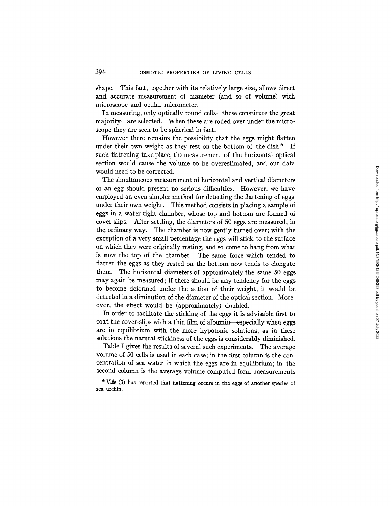shape. This fact, together with its relatively large size, allows direct and accurate measurement of diameter (and so of volume) with microscope and ocular micrometer.

In measuring, only optically round cells—these constitute the great majority--are selected. When these are rolled over under the microscope they are seen to be spherical in fact.

However there remains the possibility that the eggs might flatten under their own weight as they rest on the bottom of the dish.\* If such flattening take place, the measurement of the horizontal optical section would cause the volume to be overestimated, and our data would need to be corrected.

The simultaneous measurement of horizontal and vertical diameters of an egg should present no serious difficulties. However, we have employed an even simpler method for detecting the flattening of eggs under their own weight. This method consists in placing a sample of eggs in a water-tight chamber, whose top and bottom are formed of cover-slips. After settling, the diameters of 50 eggs are measured, in the ordinary way. The chamber is now gently turned over; with the exception of a very small percentage the eggs will stick to the surface on which they were originally resting, and so come to hang from what is now the top of the chamber. The same force which tended to flatten the eggs as they rested on the bottom now tends to elongate them. The horizontal diameters of approximately the same 50 eggs may again be measured; if there should be any tendency for the eggs to become deformed under the action of their weight, it would be detected in a diminution of the diameter of the optical section. Moreover, the effect would be (approximately) doubled.

In order to facilitate the sticking of the eggs it is advisable first to coat the cover-slips with a thin film of albumin--especially when eggs are in equilibrium with the more hypotonic solutions, as in these solutions the natural stickiness of the eggs is considerably diminished.

Table I gives the results of several such experiments. The average volume of 50 cells is used in each case; in the first column is the concentration of sea water in which the eggs are in equilibrium; in the second column is the average volume computed from measurements

<sup>\*</sup> V16s (3) has reported that flattening occurs in the eggs of another species of sea urchin.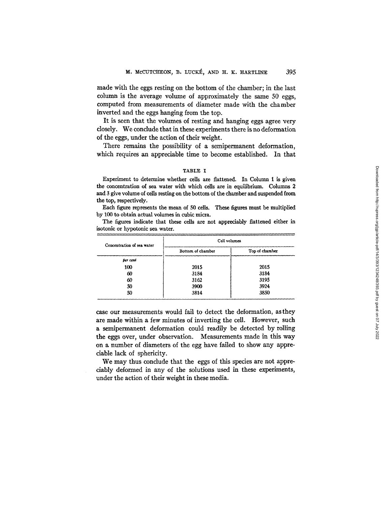made with the eggs resting on the bottom of the chamber; in the last column is the average volume of approximately the same 50 eggs, computed from measurements of diameter made with the chamber inverted and the eggs hanging from the top.

It is seen that the volumes of resting and hanging eggs agree very closely. We conclude that in these experiments there is no deformation of the eggs, under the action of their weight.

There remains the possibility of a semipermanent deformation, which requires an appreciable time to become established. In that

#### TABLE I

Experiment to determine whether cells are flattened. In Column I is given the concentration of sea water with which cells are in equilibrium. Columns 2 and 3 give volume of cells resting on the bottom of the chamber and suspended from the top, respectively.

Each figure represents the mean of 50 cells. These figures must be multiplied by I00 to obtain actual volumes in cubic micra.

The figures indicate that these cells **are not** appreciably flattened either in isotonic or hypotonic sea water.

| Concentration of sea water | Cell volumes      |                |  |  |
|----------------------------|-------------------|----------------|--|--|
|                            | Bottom of chamber | Top of chamber |  |  |
| per cent                   |                   |                |  |  |
| 100                        | 2015              | 2015           |  |  |
| 60                         | 3184              | 3184           |  |  |
| 60                         | 3162              | 3195           |  |  |
| 50                         | 3900              | 3924           |  |  |
| 50                         | 3814              | 3850           |  |  |

case our measurements would fail to detect the deformation, asthey are made within a few minutes of inverting the cell. However, such a semipermanent deformation could readily be detected by rolling the eggs over, under observation. Measurements made in this way on a number of diameters of the egg have failed to show any appreciable lack of sphericity.

We may thus conclude that the eggs of this species are not appreciably deformed in any of the solutions used in these experiments, under the action of their weight in these media.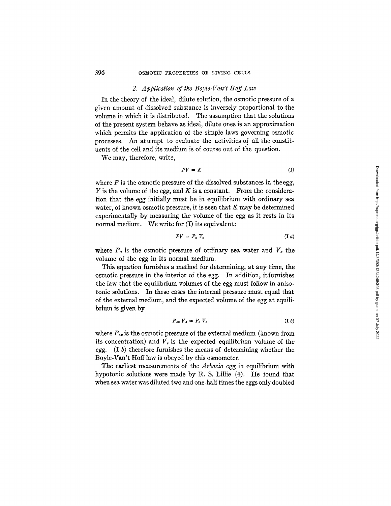# 2. Application of the Boyle-Van't Hoff Law

In the theory of the ideal, dilute solution, the osmotic pressure of a given amount of dissolved substance is inversely proportional to the volume in which it is distributed. The assumption that the solutions of the present system behave as ideal, dilute ones is an approximation which permits the application of the simple laws governing osmotic processes. An attempt to evaluate the activities of all the constituents of the cell and its medium is of course out of the question.

We may, therefore, write,

$$
PV = K \tag{I}
$$

where  $P$  is the osmotic pressure of the dissolved substances in the egg, V is the volume of the egg, and K is a constant. From the consideration that the egg initially must be in equilibrium with ordinary sea water, of known osmotic pressure, it is seen that  $K$  may be determined experimentally by measuring the volume of the egg as it rests in its normal medium. We write for (I) its equivalent:

$$
PV = P_o V_o \tag{I } a
$$

where  $P<sub>o</sub>$  is the osmotic pressure of ordinary sea water and  $V<sub>o</sub>$  the volume of the egg in its normal medium.

This equation furnishes a method for determining, at any time, the osmotic pressure in the interior of the egg. In addition, it furnishes the law that the equilibrium volumes of the egg must follow in anisotonic solutions. In these cases the internal pressure must equal that of the external medium, and the expected volume of the egg at equilibrium is given by

$$
P_{ex} V_{e} = P_{o} V_{o} \tag{I b}
$$

where  $P_{ex}$  is the osmotic pressure of the external medium (known from its concentration) and  $V<sub>e</sub>$  is the expected equilibrium volume of the egg.  $(I<sub>b</sub>)$  therefore furnishes the means of determining whether the Boyle-Van't Hoff law is obeyed by this osmometer.

The earliest measurements of the *Arbacia* egg in equilibrium with hypotonic solutions were made by R. S. Lillie (4). He found that when sea water was diluted two and one-half times the eggs only doubled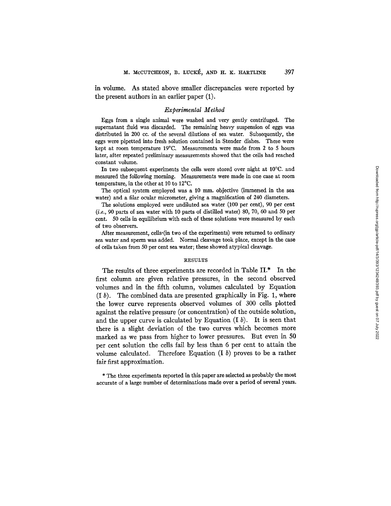in volume. As stated above smaller discrepancies were reported by the present authors in an earlier paper (1).

### *Experimental Method*

Eggs from a single animal were washed and very gently centrifuged. The supernatant fluid was discarded. The remaining heavy suspension of eggs was distributed in 200 cc. of the several dilutions of sea water. Subsequently, the eggs were pipetted into fresh solution contained in Stender dishes. These were kept at room temperature 19°C, Measurements were made from 2 to 5 hours later, after repeated preliminary measurements showed that the cells had reached constant volume.

In two subsequent experiments the cells were stored over night at 10°C. and measured the following morning. Measurements were made in one case at room temperature, in the other at 10 to 12°C.

The optical system employed was a 10 mm. objective (immersed in the sea water) and a filar ocular micrometer, giving a magnification of 240 diameters.

The solutions employed were undiluted sea water (100 per cent), 90 per cent *(i.e.,* 90 parts of sea water with 10 parts of distilled water) 80, 70, 60 and 50 per cent. 50 cells in equilibrium with each of these solutions were measured by each of two observers.

After measurement, cells. (in two of the experiments) were returned to ordinary sea water and sperm was added. Normal cleavage took place, except in the case of cells taken from 50 per cent sea water; these showed atypical cleavage.

#### RESULTS

The results of three experiments are recorded in Table II.\* In the first column are given relative pressures, in the second observed volumes and in the fifth column, volumes calculated by Equation  $(1 b)$ . The combined data are presented graphically in Fig. 1, where the lower curve represents observed volumes of 300 cells plotted against the relative pressure (or concentration) of the outside solution, and the upper curve is calculated by Equation  $(I b)$ . It is seen that there is a slight deviation of the two curves which becomes more marked as we pass from higher to lower pressures. But even in 50 per cent solution the cells fail by less than 6 per cent to attain the volume calculated. Therefore Equation  $(I, b)$  proves to be a rather fair first approximation.

\* The three experiments reported in this paper are selected as probably the most accurate of a large number of determinations made over a period of several years.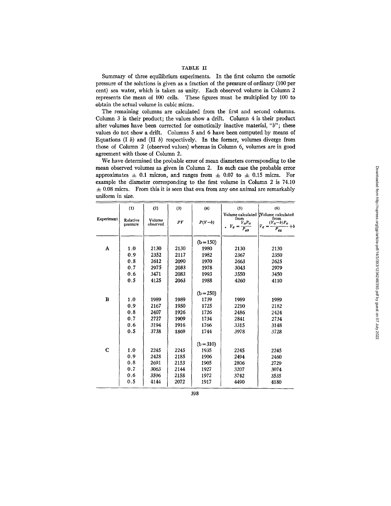# TABLE II

Summary of three equilibrium experiments. In the first column the osmotic pressure of the solutions is given as a fraction of the pressure of ordinary (i00 per cent) sea water, which is taken as unity. Each observed volume in Column 2 represents the mean of 100 cells. These figures must be multiplied by 100 to obtain the actual volume in cubic micra.

The remaining columns are calculated from the first and second columns. Column 3 is their product; the values show a drift. Column 4 is their product after volumes have been corrected for osmotically inactive material, *"b";* these values do not show a drift. Columns 5 and 6 have been computed by means of Equations  $(I b)$  and  $(II b)$  respectively. In the former, volumes diverge from those of Column 2 (observed values) whereas in Column 6, volumes are in good agreement with those of Column 2.

We have determined the probable error of mean diameters corresponding to the mean observed volumes as given in Column 2. In each case the probable error approximates  $\pm$  0.1 micron, and ranges from  $\pm$  0.07 to  $\pm$  0.15 micra. For example the diameter corresponding to the first volume in Column 2 is 74.10  $\pm$  0.08 micra. From this it is seen that ova from any one animal are remarkably uniform in size.

|             | (1)                  | (2)                | (3)  | (4)         | (5)                                                | (6)                                                                                              |
|-------------|----------------------|--------------------|------|-------------|----------------------------------------------------|--------------------------------------------------------------------------------------------------|
| Experiment  | Relative<br>pressure | Volume<br>observed | PV   | $P(V-b)$    | from<br>$V_0P_0$<br>$V_e =$<br>$\overline{P}_{ex}$ | Volume calculated Volume calculated<br>from<br>$(V_o-b)P_o$<br>$V_e =$<br>$+b$<br>$\bar{P}_{ex}$ |
|             |                      |                    |      | $(b=150)$   |                                                    |                                                                                                  |
| A           | 1.0                  | 2130               | 2130 | 1980        | 2130                                               | 2130                                                                                             |
|             | 0.9                  | 2352               | 2117 | 1982        | 2367                                               | 2350                                                                                             |
|             | 0.8                  | 2612               | 2090 | 1970        | 2663                                               | 2625                                                                                             |
|             | 0.7                  | 2975               | 2083 | 1978        | 3043                                               | 2979                                                                                             |
|             | 0.6                  | 3471               | 2083 | 1993        | 3550                                               | 3450                                                                                             |
|             | 0.5                  | 4125               | 2063 | 1988        | 4260                                               | 4110                                                                                             |
|             |                      |                    |      | $(b = 250)$ |                                                    |                                                                                                  |
| в           | 1.0                  | 1989               | 1989 | 1739        | 1989                                               | 1989                                                                                             |
|             | 0.9                  | 2167               | 1950 | 1725        | 2210                                               | 2182                                                                                             |
|             | 0.8                  | 2407               | 1926 | 1726        | 2486                                               | 2424                                                                                             |
|             | 0.7                  | 2727               | 1909 | 1734        | 2841                                               | 2734                                                                                             |
|             | 0.6                  | 3194               | 1916 | 1766        | 3315                                               | 3148                                                                                             |
|             | 0.5                  | 3738               | 1869 | 1744        | 3978                                               | 3728                                                                                             |
|             |                      |                    |      | $(b=310)$   |                                                    |                                                                                                  |
| $\mathbf C$ | 1.0                  | 2245               | 2245 | 1935        | 2245                                               | 2245                                                                                             |
|             | 0.9                  | 2428               | 2185 | 1906        | 2494                                               | 2460                                                                                             |
|             | 0.8                  | 2691               | 2153 | 1905        | 2806                                               | 2729                                                                                             |
|             | 0.7                  | 3063               | 2144 | 1927        | 3207                                               | 3074                                                                                             |
|             | 0.6                  | 3596               | 2158 | 1972        | 3742                                               | 3535                                                                                             |
|             | 0.5                  | 4144               | 2072 | 1917        | 4490                                               | 4180                                                                                             |

398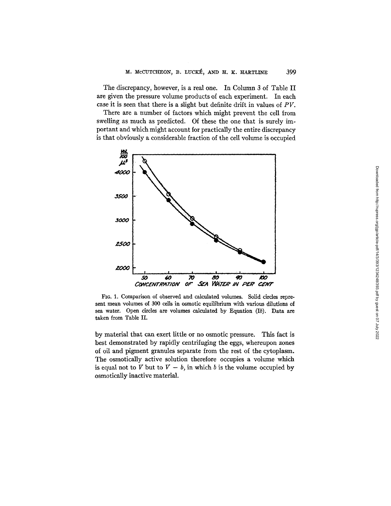The discrepancy, however, is a real one. In Column 3 of Table II are given the pressure volume products of each experiment. In each case it is seen that there is a slight but definite drift in values of *PV.* 

There are a number of factors which might prevent the cell from swelling as much as predicted. Of these the one that is surely important and which might account for practically the entire discrepancy is that obviously a considerable fraction of the cell volume is occupied



FIG. 1. Comparison of observed and calculated volumes. Solid circles represent mean volumes of 300 cells in osmotic equilibrium with various dilutions of sea water. Open circles are volumes calculated by Equation (Ib). Data are taken from Table II.

by material that can exert little or no osmotic pressure. This fact is best demonstrated by rapidly centrifuging the eggs, whereupon zones of oil and pigment granules separate from the rest of the cytoplasm. The osmotically active solution therefore occupies a volume which is equal not to V but to  $V - b$ , in which b is the volume occupied by osmotically inactive material.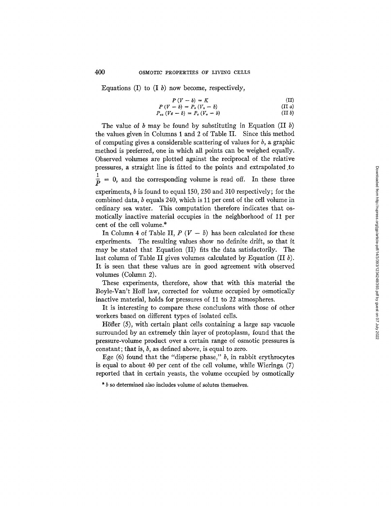Equations (I) to  $(I, b)$  now become, respectively,

$$
P(V-b) = K
$$
 (II)  

$$
P(V-b) = P_a(V_a - b)
$$
 (II a)

$$
P_{ex} (Ve - b) = P_o (V_o - b) \tag{II b}
$$

The value of b may be found by substituting in Equation (II b) the values given in Columns 1 and 2 of Table II. Since this method of computing gives a considerable scattering of values for  $b$ , a graphic method is preferred, one in which all points can be weighed equally. Observed volumes are plotted against the reciprocal of the relative pressures, a straight line is fitted to the points and extrapolated to  $\frac{1}{p}$  = 0, and the corresponding volume is read off. In these three experiments, b is found to equal 150, 250 and 310 respectively; for the combined data, b equals 240, which is 11 per cent of the cell volume in ordinary sea water. This computation therefore indicates that osmoticaIly inactive material occupies in the neighborhood of 11 per cent of the cell volume.\*

In Column 4 of Table II,  $P(V - b)$  has been calculated for these experiments. The resulting values show no definite drift, so that it may be stated that Equation (II) fits the data satisfactorily. The last column of Table II gives volumes calculated by Equation  $(II b)$ . It is seen that these values are in good agreement with observed volumes (Column 2).

These experiments, therefore, show that with this material the Boyle-Van't Hoff law, corrected for volume occupied by osmotically inactive material, holds for pressures of 11 to 22 atmospheres.

It is interesting to compare these conclusions with those of other workers based on different types of isolated cells.

Höfler  $(5)$ , with certain plant cells containing a large sap vacuole surrounded by an extremely thin layer of protoplasm, found that the pressure-volume product over a certain range of osmotic pressures is constant; that is,  $b$ , as defined above, is equal to zero.

Ege  $(6)$  found that the "disperse phase," b, in rabbit erythrocytes is equal to about 40 per cent of the cell volume, while Wieringa (7) reported that in certain yeasts, the volume occupied by osmotically

\* b so determined also includes volume of solutes themselves.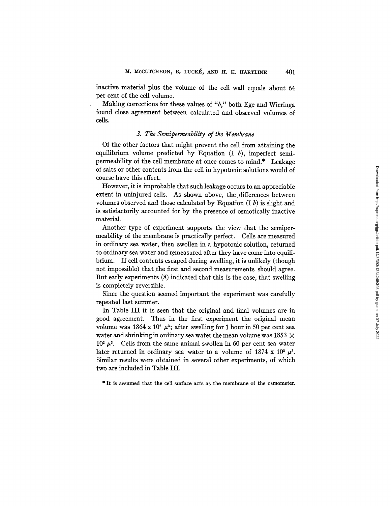inactive material plus the volume of the cell wall equals about 64 per cent of the cell volume.

Making corrections for these values of *"b,"* both Ege and Wieringa found close agreement between calculated and observed volumes of cells.

### *3. The Semipermeability of the Membrane*

Of the other factors that might prevent the cell from attaining the equilibrium volume predicted by Equation (I *b),* imperfect semipermeability of the cell membrane at once comes to mind.\* Leakage of salts or other contents from the cell in hypotonic solutions would of course have this effect.

However, it is improbable that such leakage occurs to an appreciable extent in uninjured cells. As shown above, the differences between volumes observed and those calculated by Equation  $(I b)$  is slight and is satisfactorily accounted for by the presence of osmotically inactive material.

Another type of experiment supports the view that the semipermeability of the membrane is practically perfect. Cells are measured in ordinary sea water, then swollen in a hypotonic solution, returned to ordinary sea water and remeasured after they have come into equilibrium. If cell contents escaped during swelling, it is unlikely (though not impossible) that .the first and second measurements should agree. But early experiments (8) indicated that this is the case, that swelling is completely reversible.

Since the question seemed important the experiment was carefully repeated last summer.

In Table III it is seen that the original and final volumes are in good agreement. Thus in the first experiment the original mean volume was 1864 x 10<sup>2</sup>  $\mu$ <sup>3</sup>; after swelling for 1 hour in 50 per cent sea water and shrinking in ordinary sea water the mean volume was 1853  $\times$  $10<sup>2</sup> \mu<sup>3</sup>$ . Cells from the same animal swollen in 60 per cent sea water later returned in ordinary sea water to a volume of 1874 x 10<sup>2</sup>  $\mu^3$ . Similar results were obtained in several other experiments, of which two are included in Table III.

\* It is assumed that the cell surface acts as the membrane of the osmometer.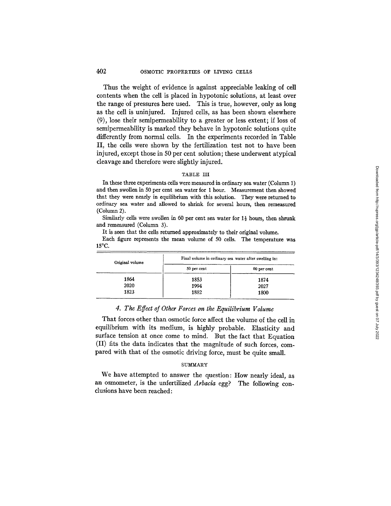### 402 OSMOTIC PROPERTIES OF LIVING CELLS

Thus the weight of evidence is against appreciable leaking of cell contents when the cell is placed in hypotonic solutions, at least over the range of pressures here used. This is true, however, only as long as the cell is uninjured. Injured cells, as has been shown elsewhere (9), lose their semipermeability to a greater or less extent; if loss of semipermeability is marked they behave in hypotonic solutions quite differently from normal cells. In the experiments recorded in Table II, the ceils were shown by the fertilization test not to have been injured, except those in 50 per cent solution; these underwent atypical cleavage and therefore were slightly injured.

#### TABLE III

In these three experiments cells were measured in ordinary sea water (Column 1) and then swollen in 50 per cent sea water for 1 hour. Measurement then showed that they were nearly in equilibrium with this solution. They were returned to ordinary sea water and allowed to shrink for several hours, then remeasured (Column 2).

Similarly cells were swollen in 60 per cent sea water for  $1\frac{1}{2}$  hours, then shrunk and remeasured (Column 3).

It is seen that the cells returned approximately to their original volume.

Each figure represents the mean volume of 50 cells. The temperature was 15°C.

| Original volume | Final volume in ordinary sea water after swelling in: |             |  |
|-----------------|-------------------------------------------------------|-------------|--|
|                 | 50 per cent                                           | 60 per cent |  |
| 1864            | 1853                                                  | 1874        |  |
| 2020            | 1994                                                  | 2027        |  |
| 1823            | 1882                                                  | 1800        |  |

### *4. The Effect of Other Forces on the Equilibrium Volume*

That forces other than osmotic force affect the volume of the cell in equilibrium with its medium, is highly probable. Elasticity and surface tension at once come to mind. But the fact that Equation (II) fits the data indicates that the magnitude of such forces, compared with that of the osmotic driving force, must be quite small.

#### **SUMMARY**

We have attempted to answer the question: How nearly ideal, as an osmometer, is the unfertilized *Arbacia* egg? The following conclusions have been reached: